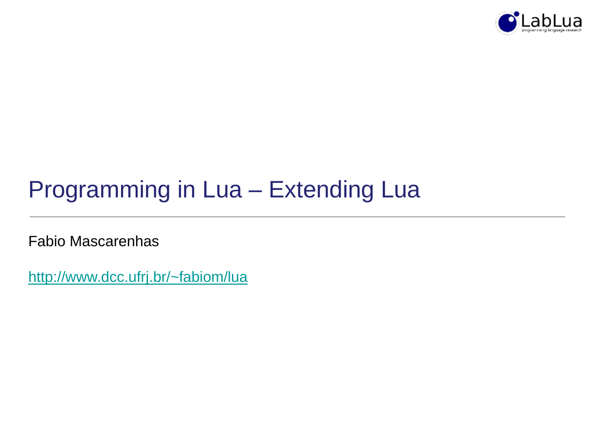

# Programming in Lua – Extending Lua

Fabio Mascarenhas

<http://www.dcc.ufrj.br/~fabiom/lua>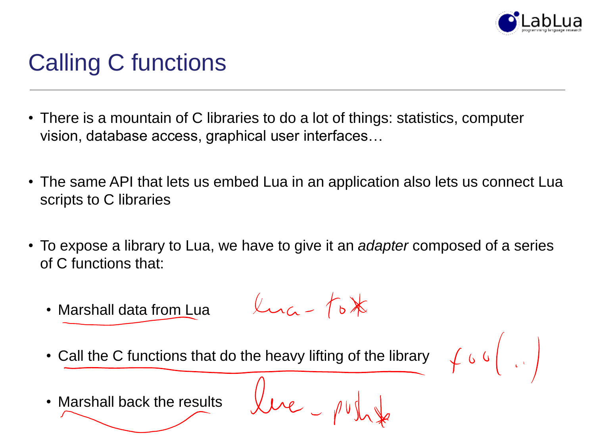

# Calling C functions

- There is a mountain of C libraries to do a lot of things: statistics, computer vision, database access, graphical user interfaces…
- The same API that lets us embed Lua in an application also lets us connect Lua scripts to C libraries
- To expose a library to Lua, we have to give it an *adapter* composed of a series of C functions that:
	- $\mu_{\text{max}}$   $f_{\text{b}}$   $\times$ • Marshall data from Lua
	- Call the C functions that do the heavy lifting of the library

 $\begin{array}{c} \begin{array}{c} \begin{array}{c} \end{array} \\ \end{array} \begin{array}{c} \end{array} \begin{array}{c} \end{array} \begin{array}{c} \end{array} \begin{array}{c} \end{array} \begin{array}{c} \end{array} \begin{array}{c} \end{array} \begin{array}{c} \end{array} \begin{array}{c} \end{array} \begin{array}{c} \end{array} \begin{array}{c} \end{array} \end{array}$ 

• Marshall back the results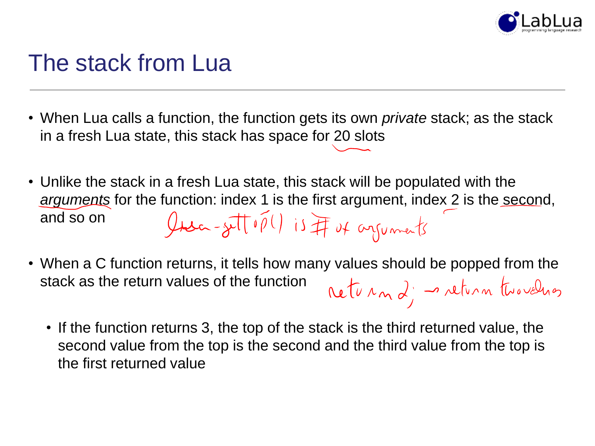

### The stack from Lua

- When Lua calls a function, the function gets its own *private* stack; as the stack in a fresh Lua state, this stack has space for 20 slots
- Unlike the stack in a fresh Lua state, this stack will be populated with the *arguments* for the function: index 1 is the first argument, index 2 is the second, Insa-sett op() is IT of arguments and so on
- When a C function returns, it tells how many values should be popped from the stack as the return values of the function returna; naturn two velongs
	- If the function returns 3, the top of the stack is the third returned value, the second value from the top is the second and the third value from the top is the first returned value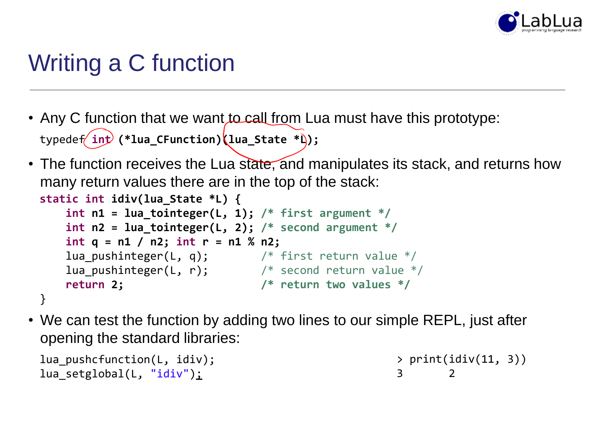

# Writing a C function

- Any C function that we want to call from Lua must have this prototype: typedef **int (\*lua\_CFunction)(lua\_State \*L);**
- The function receives the Lua state, and manipulates its stack, and returns how many return values there are in the top of the stack:

```
static int idiv(lua_State *L) {
   int n1 = lua tointeger(L, 1); /* first argument */int n2 = lua_tointeger(L, 2); /* second argument */
   int q = n1 / n2; int r = n1 % n2;
   lua_pushinteger(L, q); /* first return value */
   lua_pushinteger(L, r); \frac{1}{2} /* second return value */
   return 2; /* return two values */
}
```
• We can test the function by adding two lines to our simple REPL, just after opening the standard libraries:

```
lua pushcfunction(L, idiv);
lua setglobal(L, "idiv");
                                                    > print(idiv(11, 3))
                                                    3 2
```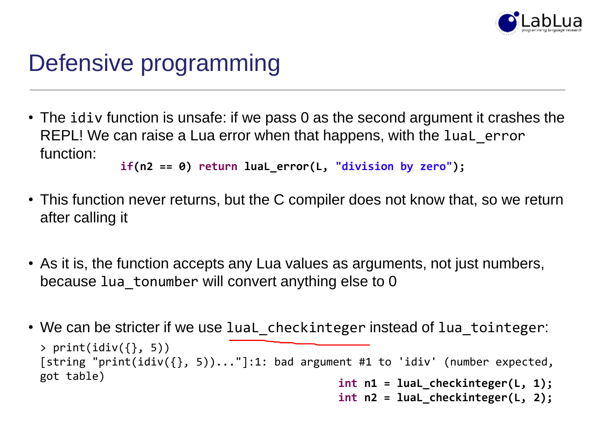

# Defensive programming

• The idiv function is unsafe: if we pass 0 as the second argument it crashes the REPL! We can raise a Lua error when that happens, with the luaL error function:

```
if(n2 == 0) return luaL_error(L, "division by zero");
```
- This function never returns, but the C compiler does not know that, so we return after calling it
- As it is, the function accepts any Lua values as arguments, not just numbers, because lua tonumber will convert anything else to 0
- We can be stricter if we use luaL\_checkinteger instead of lua\_tointeger: **int n1 = luaL\_checkinteger(L, 1);**  $>$  print(idiv({}, 5)) [string "print(idiv({}, 5))..."]:1: bad argument #1 to 'idiv' (number expected, got table)
	- **int n2 = luaL\_checkinteger(L, 2);**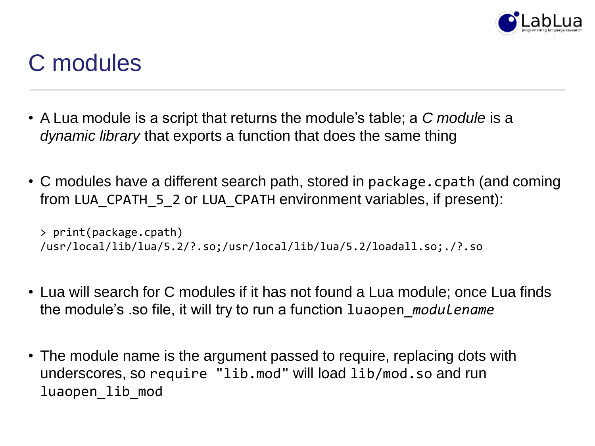

# C modules

- A Lua module is a script that returns the module's table; a *C module* is a *dynamic library* that exports a function that does the same thing
- C modules have a different search path, stored in package.cpath (and coming from LUA\_CPATH\_5\_2 or LUA\_CPATH environment variables, if present):

```
> print(package.cpath)
/usr/local/lib/lua/5.2/?.so;/usr/local/lib/lua/5.2/loadall.so;./?.so
```
- Lua will search for C modules if it has not found a Lua module; once Lua finds the module's .so file, it will try to run a function luaopen\_*modulename*
- The module name is the argument passed to require, replacing dots with underscores, so require "lib.mod" will load lib/mod.so and run luaopen\_lib\_mod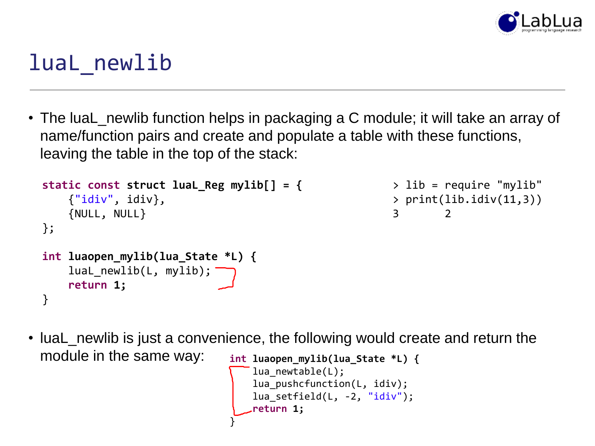

### luaL newlib

• The luaL\_newlib function helps in packaging a C module; it will take an array of name/function pairs and create and populate a table with these functions, leaving the table in the top of the stack:

```
static const struct luaL_Reg mylib[] = {
    {"idiv", idiv},
    {NULL, NULL}
};
int luaopen_mylib(lua_State *L) {
    luaL_newlib(L, mylib);
    return 1;
}
                                                      > lib = require "mylib"
                                                      > print(lib.idiv(11,3))
                                                      3 2
```
• luaL\_newlib is just a convenience, the following would create and return the module in the same way: **int luaopen\_mylib(lua\_State \*L) {**

```
lua newtable(L);
   lua_pushcfunction(L, idiv);
   lua_setfield(L, -2, "idiv");
   return 1;
}
```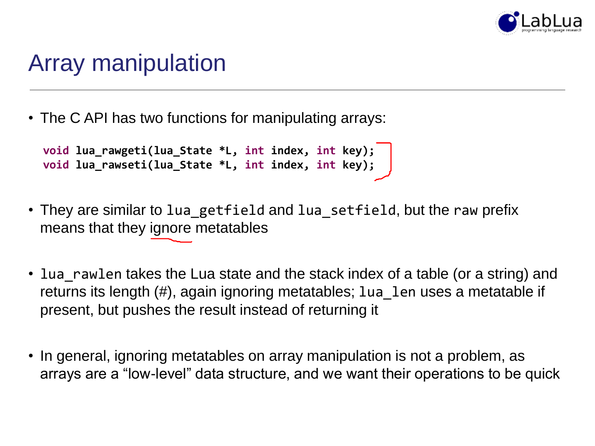

### Array manipulation

• The C API has two functions for manipulating arrays:

```
void lua_rawgeti(lua_State *L, int index, int key);
void lua_rawseti(lua_State *L, int index, int key);
```
- They are similar to lua getfield and lua setfield, but the raw prefix means that they ignore metatables
- lua rawlen takes the Lua state and the stack index of a table (or a string) and returns its length (#), again ignoring metatables; lua len uses a metatable if present, but pushes the result instead of returning it
- In general, ignoring metatables on array manipulation is not a problem, as arrays are a "low-level" data structure, and we want their operations to be quick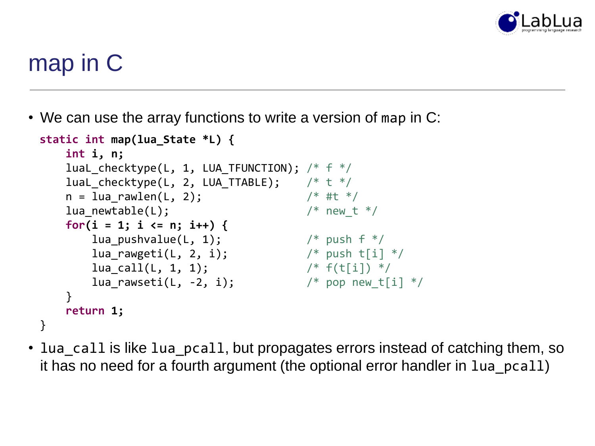

# map in C

• We can use the array functions to write a version of map in C:

```
static int map(lua_State *L) {
   int i, n;
   luaL checktype(L, 1, LUA TFUNCTION); /* f * /luaL_checktype(L, 2, LUA_TTABLE); /* t */
   n = lua rawlen(L, 2); / /* #t */
   lua newtable(L); / /* new t */for(i = 1; i <= n; i++) { 
      lua pushvalue(L, 1); \frac{1}{2} /* push f */
      lua rawgeti(L, 2, i); / /* push t[i] */
      lua call(L, 1, 1); / /* f(t[i]) */
      lua rawseti(L, -2, i); / /* pop new t[i] */
   }
   return 1;
}
```
• lua\_call is like lua\_pcall, but propagates errors instead of catching them, so it has no need for a fourth argument (the optional error handler in lua\_pcall)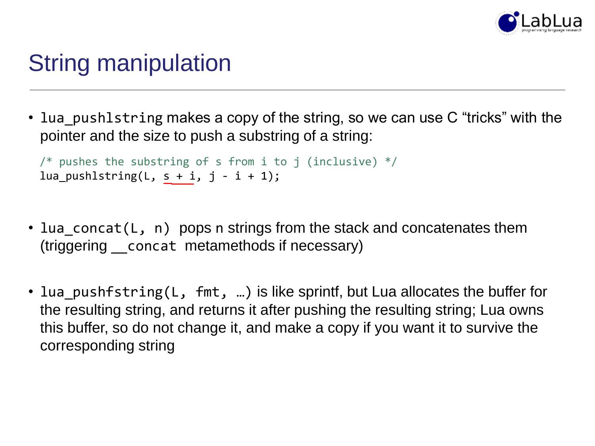

# String manipulation

• lua pushlstring makes a copy of the string, so we can use C "tricks" with the pointer and the size to push a substring of a string:

```
/* pushes the substring of s from i to j (inclusive) */lua_pushlstring(L, s + i, j - i + 1);
```
- lua concat(L, n) pops n strings from the stack and concatenates them (triggering \_\_concat metamethods if necessary)
- lua\_pushfstring(L, fmt, ...) is like sprintf, but Lua allocates the buffer for the resulting string, and returns it after pushing the resulting string; Lua owns this buffer, so do not change it, and make a copy if you want it to survive the corresponding string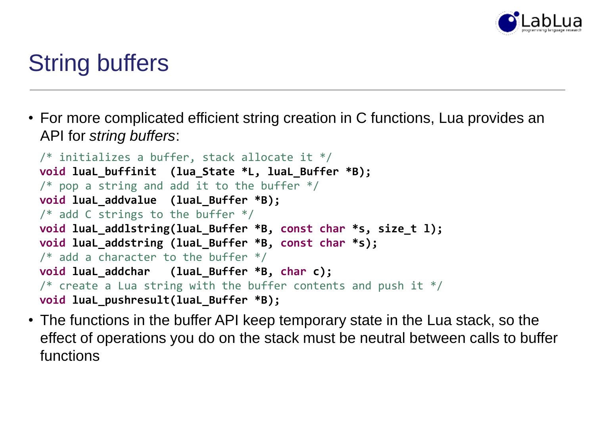

## String buffers

• For more complicated efficient string creation in C functions, Lua provides an API for *string buffers*:

```
/* initializes a buffer, stack allocate it */
void luaL_buffinit (lua_State *L, luaL_Buffer *B);
/* pop a string and add it to the buffer */void luaL_addvalue (luaL_Buffer *B);
/* add C strings to the buffer */void luaL_addlstring(luaL_Buffer *B, const char *s, size_t l);
void luaL_addstring (luaL_Buffer *B, const char *s);
\frac{1}{2} add a character to the buffer \frac{1}{2}void luaL_addchar (luaL_Buffer *B, char c);
\frac{1}{2} create a Lua string with the buffer contents and push it */
void luaL_pushresult(luaL_Buffer *B);
```
• The functions in the buffer API keep temporary state in the Lua stack, so the effect of operations you do on the stack must be neutral between calls to buffer functions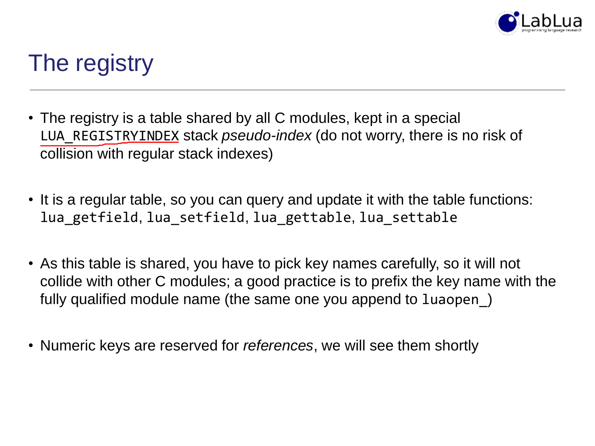

# The registry

- The registry is a table shared by all C modules, kept in a special LUA\_REGISTRYINDEX stack *pseudo-index* (do not worry, there is no risk of collision with regular stack indexes)
- It is a regular table, so you can query and update it with the table functions: lua\_getfield, lua\_setfield, lua\_gettable, lua\_settable
- As this table is shared, you have to pick key names carefully, so it will not collide with other C modules; a good practice is to prefix the key name with the fully qualified module name (the same one you append to luaopen\_)
- Numeric keys are reserved for *references*, we will see them shortly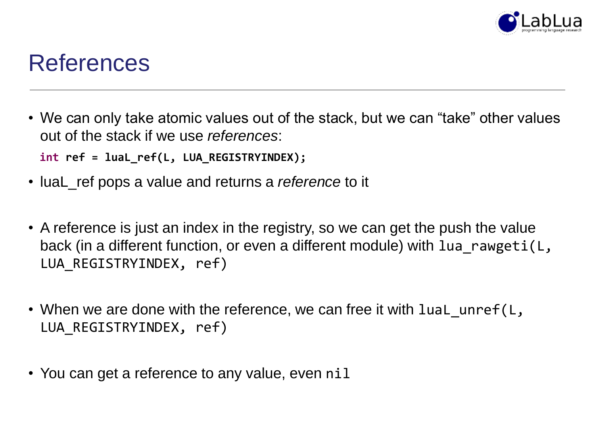

#### References

• We can only take atomic values out of the stack, but we can "take" other values out of the stack if we use *references*:

**int ref = luaL\_ref(L, LUA\_REGISTRYINDEX);**

- luaL\_ref pops a value and returns a *reference* to it
- A reference is just an index in the registry, so we can get the push the value back (in a different function, or even a different module) with lua rawgeti(L, LUA\_REGISTRYINDEX, ref)
- When we are done with the reference, we can free it with luaL unref(L, LUA REGISTRYINDEX, ref)
- You can get a reference to any value, even nil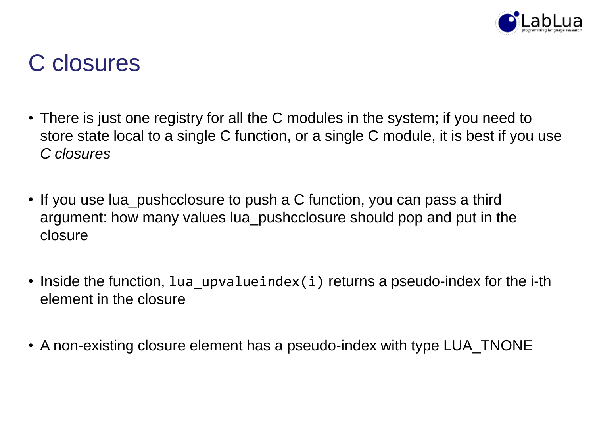

### C closures

- There is just one registry for all the C modules in the system; if you need to store state local to a single C function, or a single C module, it is best if you use *C closures*
- If you use lua\_pushcclosure to push a C function, you can pass a third argument: how many values lua\_pushcclosure should pop and put in the closure
- Inside the function, lua upvalueindex(i) returns a pseudo-index for the i-th element in the closure
- A non-existing closure element has a pseudo-index with type LUA\_TNONE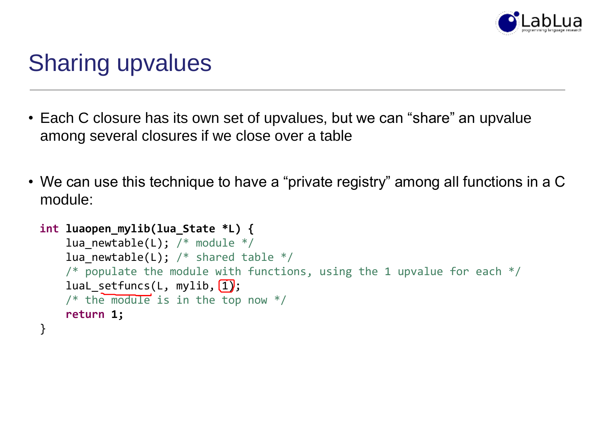

# Sharing upvalues

- Each C closure has its own set of upvalues, but we can "share" an upvalue among several closures if we close over a table
- We can use this technique to have a "private registry" among all functions in a C module:

```
int luaopen_mylib(lua_State *L) {
    lua newtable(L); /* module */lua_newtable(L); /* shared table *//* populate the module with functions, using the 1 upvalue for each */luaL_setfuncs(L, mylib, \overline{1});
    /* the module is in the top now */return 1;
}
```